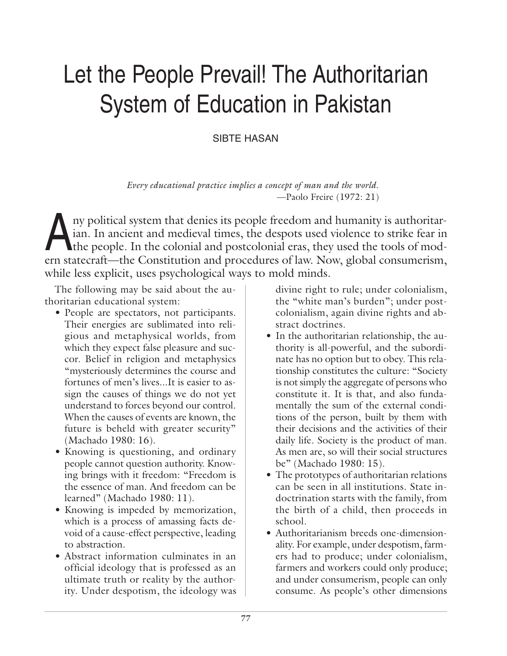# Let the People Prevail! The Authoritarian System of Education in Pakistan

SIBTE HASAN

*Every educational practice implies a concept of man and the world.* —Paolo Freire (1972: 21)

Any political system that denies its people freedom and humanity is authoritarian. In ancient and medieval times, the despots used violence to strike fear in the people. In the colonial and postcolonial eras, they used the ian. In ancient and medieval times, the despots used violence to strike fear in the people. In the colonial and postcolonial eras, they used the tools of modern statecraft—the Constitution and procedures of law. Now, global consumerism, while less explicit, uses psychological ways to mold minds.

The following may be said about the authoritarian educational system:

- People are spectators, not participants. Their energies are sublimated into religious and metaphysical worlds, from which they expect false pleasure and succor. Belief in religion and metaphysics "mysteriously determines the course and fortunes of men's lives...It is easier to assign the causes of things we do not yet understand to forces beyond our control. When the causes of events are known, the future is beheld with greater security" (Machado 1980: 16).
- Knowing is questioning, and ordinary people cannot question authority. Knowing brings with it freedom: "Freedom is the essence of man. And freedom can be learned" (Machado 1980: 11).
- Knowing is impeded by memorization, which is a process of amassing facts devoid of a cause-effect perspective, leading to abstraction.
- Abstract information culminates in an official ideology that is professed as an ultimate truth or reality by the authority. Under despotism, the ideology was

divine right to rule; under colonialism, the "white man's burden"; under postcolonialism, again divine rights and abstract doctrines.

- In the authoritarian relationship, the authority is all-powerful, and the subordinate has no option but to obey. This relationship constitutes the culture: "Society is not simply the aggregate of persons who constitute it. It is that, and also fundamentally the sum of the external conditions of the person, built by them with their decisions and the activities of their daily life. Society is the product of man. As men are, so will their social structures be" (Machado 1980: 15).
- The prototypes of authoritarian relations can be seen in all institutions. State indoctrination starts with the family, from the birth of a child, then proceeds in school.
- Authoritarianism breeds one-dimensionality. For example, under despotism, farmers had to produce; under colonialism, farmers and workers could only produce; and under consumerism, people can only consume. As people's other dimensions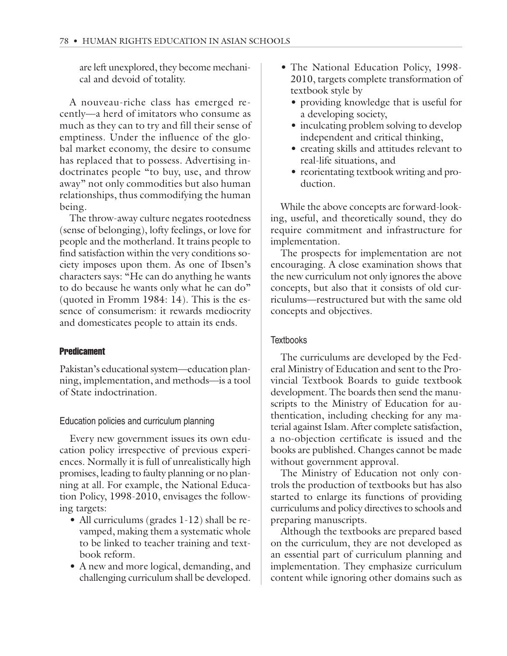are left unexplored, they become mechanical and devoid of totality.

A nouveau-riche class has emerged recently—a herd of imitators who consume as much as they can to try and fill their sense of emptiness. Under the influence of the global market economy, the desire to consume has replaced that to possess. Advertising indoctrinates people "to buy, use, and throw away" not only commodities but also human relationships, thus commodifying the human being.

The throw-away culture negates rootedness (sense of belonging), lofty feelings, or love for people and the motherland. It trains people to find satisfaction within the very conditions society imposes upon them. As one of Ibsen's characters says: "He can do anything he wants to do because he wants only what he can do" (quoted in Fromm 1984: 14). This is the essence of consumerism: it rewards mediocrity and domesticates people to attain its ends.

#### Predicament

Pakistan's educational system—education planning, implementation, and methods—is a tool of State indoctrination.

Education policies and curriculum planning

Every new government issues its own education policy irrespective of previous experiences. Normally it is full of unrealistically high promises, leading to faulty planning or no planning at all. For example, the National Education Policy, 1998-2010, envisages the following targets:

- All curriculums (grades 1-12) shall be revamped, making them a systematic whole to be linked to teacher training and textbook reform.
- A new and more logical, demanding, and challenging curriculum shall be developed.
- The National Education Policy, 1998- 2010, targets complete transformation of textbook style by
	- providing knowledge that is useful for a developing society,
	- inculcating problem solving to develop independent and critical thinking,
	- creating skills and attitudes relevant to real-life situations, and
	- reorientating textbook writing and production.

While the above concepts are forward-looking, useful, and theoretically sound, they do require commitment and infrastructure for implementation.

The prospects for implementation are not encouraging. A close examination shows that the new curriculum not only ignores the above concepts, but also that it consists of old curriculums—restructured but with the same old concepts and objectives.

## **Textbooks**

The curriculums are developed by the Federal Ministry of Education and sent to the Provincial Textbook Boards to guide textbook development. The boards then send the manuscripts to the Ministry of Education for authentication, including checking for any material against Islam. After complete satisfaction, a no-objection certificate is issued and the books are published. Changes cannot be made without government approval.

The Ministry of Education not only controls the production of textbooks but has also started to enlarge its functions of providing curriculums and policy directives to schools and preparing manuscripts.

Although the textbooks are prepared based on the curriculum, they are not developed as an essential part of curriculum planning and implementation. They emphasize curriculum content while ignoring other domains such as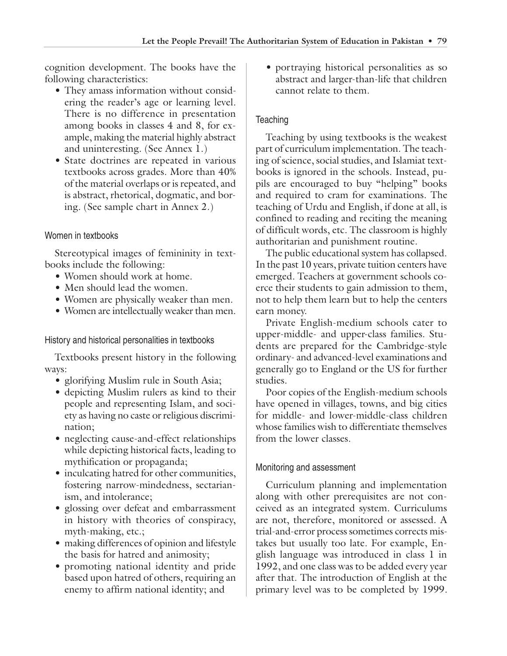cognition development. The books have the following characteristics:

- They amass information without considering the reader's age or learning level. There is no difference in presentation among books in classes 4 and 8, for example, making the material highly abstract and uninteresting. (See Annex 1.)
- State doctrines are repeated in various textbooks across grades. More than 40% of the material overlaps or is repeated, and is abstract, rhetorical, dogmatic, and boring. (See sample chart in Annex 2.)

## Women in textbooks

Stereotypical images of femininity in textbooks include the following:

- Women should work at home.
- Men should lead the women.
- Women are physically weaker than men.
- Women are intellectually weaker than men.

History and historical personalities in textbooks

Textbooks present history in the following ways:

- glorifying Muslim rule in South Asia;
- depicting Muslim rulers as kind to their people and representing Islam, and society as having no caste or religious discrimination;
- neglecting cause-and-effect relationships while depicting historical facts, leading to mythification or propaganda;
- inculcating hatred for other communities, fostering narrow-mindedness, sectarianism, and intolerance;
- glossing over defeat and embarrassment in history with theories of conspiracy, myth-making, etc.;
- making differences of opinion and lifestyle the basis for hatred and animosity;
- promoting national identity and pride based upon hatred of others, requiring an enemy to affirm national identity; and

• portraying historical personalities as so abstract and larger-than-life that children cannot relate to them.

## **Teaching**

Teaching by using textbooks is the weakest part of curriculum implementation. The teaching of science, social studies, and Islamiat textbooks is ignored in the schools. Instead, pupils are encouraged to buy "helping" books and required to cram for examinations. The teaching of Urdu and English, if done at all, is confined to reading and reciting the meaning of difficult words, etc. The classroom is highly authoritarian and punishment routine.

The public educational system has collapsed. In the past 10 years, private tuition centers have emerged. Teachers at government schools coerce their students to gain admission to them, not to help them learn but to help the centers earn money.

Private English-medium schools cater to upper-middle- and upper-class families. Students are prepared for the Cambridge-style ordinary- and advanced-level examinations and generally go to England or the US for further studies.

Poor copies of the English-medium schools have opened in villages, towns, and big cities for middle- and lower-middle-class children whose families wish to differentiate themselves from the lower classes.

## Monitoring and assessment

Curriculum planning and implementation along with other prerequisites are not conceived as an integrated system. Curriculums are not, therefore, monitored or assessed. A trial-and-error process sometimes corrects mistakes but usually too late. For example, English language was introduced in class 1 in 1992, and one class was to be added every year after that. The introduction of English at the primary level was to be completed by 1999.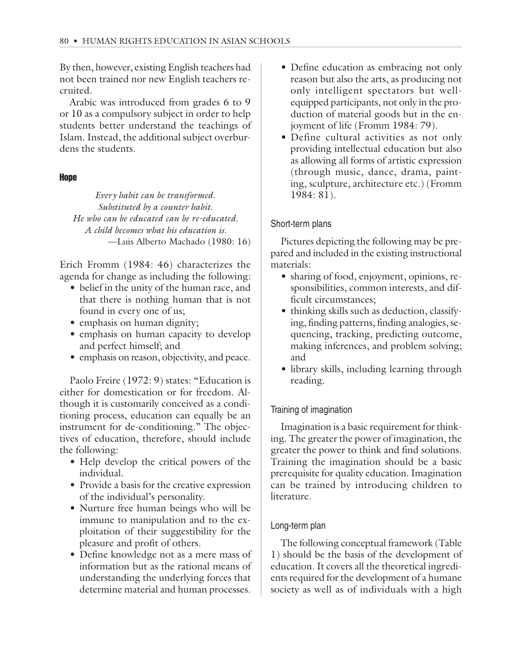By then, however, existing English teachers had not been trained nor new English teachers recruited.

Arabic was introduced from grades 6 to 9 or 10 as a compulsory subject in order to help students better understand the teachings of Islam. Instead, the additional subject overburdens the students.

#### **Hope**

*Every habit can be transformed. Substituted by a counter habit. He who can be educated can be re-educated. A child becomes what his education is.* —Luis Alberto Machado (1980: 16)

Erich Fromm (1984: 46) characterizes the agenda for change as including the following:

- belief in the unity of the human race, and that there is nothing human that is not found in every one of us;
- emphasis on human dignity;
- emphasis on human capacity to develop and perfect himself; and
- emphasis on reason, objectivity, and peace.

Paolo Freire (1972: 9) states: "Education is either for domestication or for freedom. Although it is customarily conceived as a conditioning process, education can equally be an instrument for de-conditioning." The objectives of education, therefore, should include the following:

- Help develop the critical powers of the individual.
- Provide a basis for the creative expression of the individual's personality.
- Nurture free human beings who will be immune to manipulation and to the exploitation of their suggestibility for the pleasure and profit of others.
- Define knowledge not as a mere mass of information but as the rational means of understanding the underlying forces that determine material and human processes.
- Define education as embracing not only reason but also the arts, as producing not only intelligent spectators but wellequipped participants, not only in the production of material goods but in the enjoyment of life (Fromm 1984: 79).
- Define cultural activities as not only providing intellectual education but also as allowing all forms of artistic expression (through music, dance, drama, painting, sculpture, architecture etc.) (Fromm 1984: 81).

## Short-term plans

Pictures depicting the following may be prepared and included in the existing instructional materials:

- sharing of food, enjoyment, opinions, responsibilities, common interests, and difficult circumstances;
- thinking skills such as deduction, classifying, finding patterns, finding analogies, sequencing, tracking, predicting outcome, making inferences, and problem solving; and
- library skills, including learning through reading.

# Training of imagination

Imagination is a basic requirement for thinking. The greater the power of imagination, the greater the power to think and find solutions. Training the imagination should be a basic prerequisite for quality education. Imagination can be trained by introducing children to literature.

# Long-term plan

The following conceptual framework (Table 1) should be the basis of the development of education. It covers all the theoretical ingredients required for the development of a humane society as well as of individuals with a high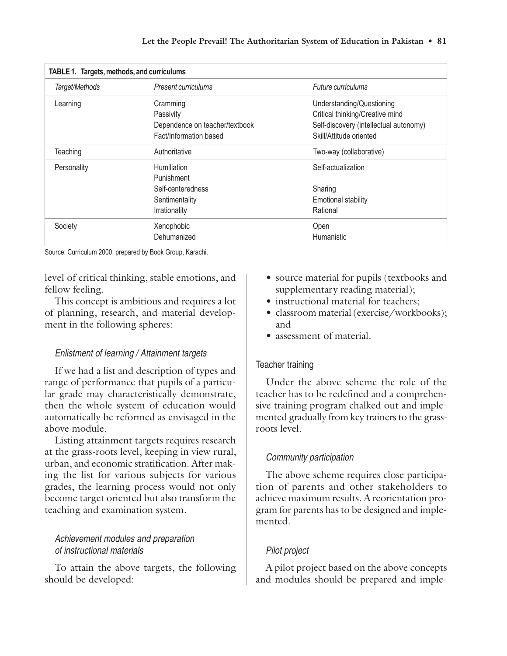| TABLE 1. Targets, methods, and curriculums |                                |                                        |  |  |  |
|--------------------------------------------|--------------------------------|----------------------------------------|--|--|--|
| Target/Methods                             | Present curriculums            | Future curriculums                     |  |  |  |
| Learning                                   | Cramming                       | Understanding/Questioning              |  |  |  |
|                                            | Passivity                      | Critical thinking/Creative mind        |  |  |  |
|                                            | Dependence on teacher/textbook | Self-discovery (intellectual autonomy) |  |  |  |
|                                            | Fact/Information based         | Skill/Attitude oriented                |  |  |  |
| Teaching                                   | Authoritative                  | Two-way (collaborative)                |  |  |  |
| Personality                                | Humiliation                    | Self-actualization                     |  |  |  |
|                                            | Punishment                     |                                        |  |  |  |
|                                            | Self-centeredness              | Sharing                                |  |  |  |
|                                            | Sentimentality                 | <b>Emotional stability</b>             |  |  |  |
|                                            | Irrationality                  | Rational                               |  |  |  |
| Society                                    | Xenophobic                     | Open                                   |  |  |  |
|                                            | Dehumanized                    | Humanistic                             |  |  |  |

Source: Curriculum 2000, prepared by Book Group, Karachi.

level of critical thinking, stable emotions, and fellow feeling.

This concept is ambitious and requires a lot of planning, research, and material development in the following spheres:

## Enlistment of learning / Attainment targets

If we had a list and description of types and range of performance that pupils of a particular grade may characteristically demonstrate, then the whole system of education would automatically be reformed as envisaged in the above module.

Listing attainment targets requires research at the grass-roots level, keeping in view rural, urban, and economic stratification. After making the list for various subjects for various grades, the learning process would not only become target oriented but also transform the teaching and examination system.

## Achievement modules and preparation of instructional materials

To attain the above targets, the following should be developed:

- source material for pupils (textbooks and supplementary reading material);
- instructional material for teachers;
- classroom material (exercise/workbooks); and
- assessment of material.

#### Teacher training

Under the above scheme the role of the teacher has to be redefined and a comprehensive training program chalked out and implemented gradually from key trainers to the grassroots level.

## Community participation

The above scheme requires close participation of parents and other stakeholders to achieve maximum results. A reorientation program for parents has to be designed and implemented.

# Pilot project

A pilot project based on the above concepts and modules should be prepared and imple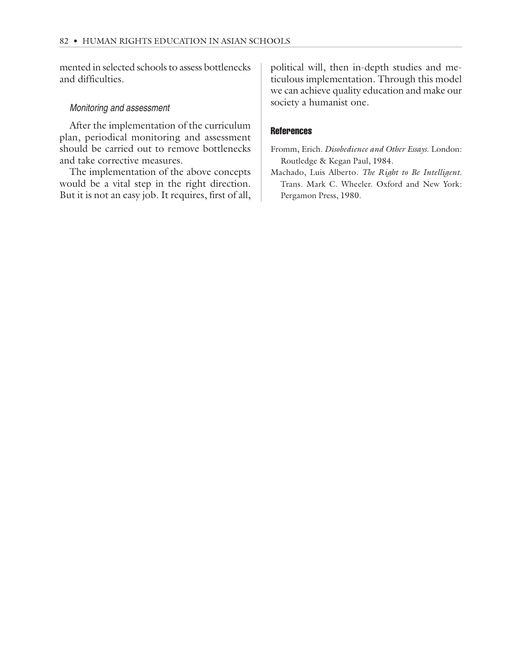mented in selected schools to assess bottlenecks and difficulties.

#### Monitoring and assessment

After the implementation of the curriculum plan, periodical monitoring and assessment should be carried out to remove bottlenecks and take corrective measures.

The implementation of the above concepts would be a vital step in the right direction. But it is not an easy job. It requires, first of all, political will, then in-depth studies and meticulous implementation. Through this model we can achieve quality education and make our society a humanist one.

#### **References**

Fromm, Erich. *Disobedience and Other Essays.* London: Routledge & Kegan Paul, 1984.

Machado, Luis Alberto. *The Right to Be Intelligent.* Trans. Mark C. Wheeler. Oxford and New York: Pergamon Press, 1980.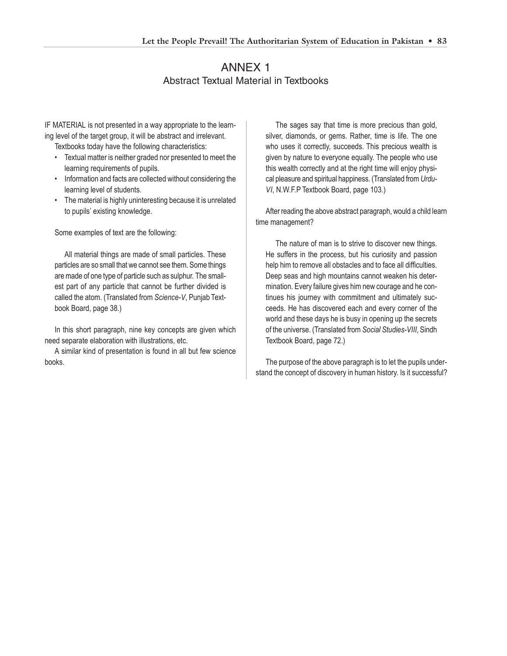# ANNEX 1 Abstract Textual Material in Textbooks

IF MATERIAL is not presented in a way appropriate to the learning level of the target group, it will be abstract and irrelevant.

Textbooks today have the following characteristics:

- Textual matter is neither graded nor presented to meet the learning requirements of pupils.
- Information and facts are collected without considering the learning level of students.
- The material is highly uninteresting because it is unrelated to pupils' existing knowledge.

Some examples of text are the following:

All material things are made of small particles. These particles are so small that we cannot see them. Some things are made of one type of particle such as sulphur. The smallest part of any particle that cannot be further divided is called the atom. (Translated from *Science-V*, Punjab Textbook Board, page 38.)

In this short paragraph, nine key concepts are given which need separate elaboration with illustrations, etc.

A similar kind of presentation is found in all but few science books.

The sages say that time is more precious than gold, silver, diamonds, or gems. Rather, time is life. The one who uses it correctly, succeeds. This precious wealth is given by nature to everyone equally. The people who use this wealth correctly and at the right time will enjoy physical pleasure and spiritual happiness. (Translated from *Urdu-VI*, N.W.F.P Textbook Board, page 103.)

After reading the above abstract paragraph, would a child learn time management?

The nature of man is to strive to discover new things. He suffers in the process, but his curiosity and passion help him to remove all obstacles and to face all difficulties. Deep seas and high mountains cannot weaken his determination. Every failure gives him new courage and he continues his journey with commitment and ultimately succeeds. He has discovered each and every corner of the world and these days he is busy in opening up the secrets of the universe. (Translated from *Social Studies-VIII*, Sindh Textbook Board, page 72.)

The purpose of the above paragraph is to let the pupils understand the concept of discovery in human history. Is it successful?